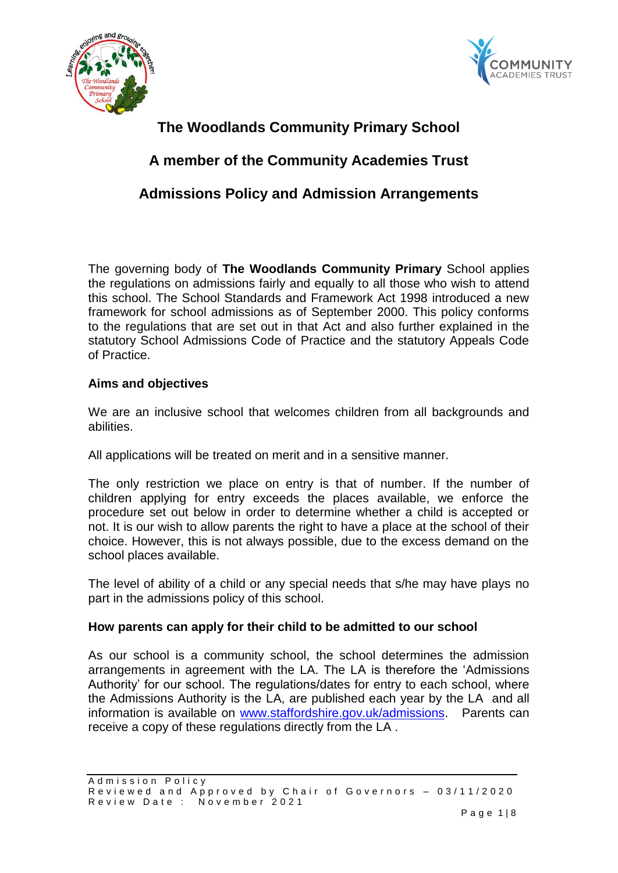



# **The Woodlands Community Primary School**

# **A member of the Community Academies Trust**

# **Admissions Policy and Admission Arrangements**

The governing body of **The Woodlands Community Primary** School applies the regulations on admissions fairly and equally to all those who wish to attend this school. The School Standards and Framework Act 1998 introduced a new framework for school admissions as of September 2000. This policy conforms to the regulations that are set out in that Act and also further explained in the statutory School Admissions Code of Practice and the statutory Appeals Code of Practice.

## **Aims and objectives**

We are an inclusive school that welcomes children from all backgrounds and abilities.

All applications will be treated on merit and in a sensitive manner.

The only restriction we place on entry is that of number. If the number of children applying for entry exceeds the places available, we enforce the procedure set out below in order to determine whether a child is accepted or not. It is our wish to allow parents the right to have a place at the school of their choice. However, this is not always possible, due to the excess demand on the school places available.

The level of ability of a child or any special needs that s/he may have plays no part in the admissions policy of this school.

## **How parents can apply for their child to be admitted to our school**

As our school is a community school, the school determines the admission arrangements in agreement with the LA. The LA is therefore the 'Admissions Authority' for our school. The regulations/dates for entry to each school, where the Admissions Authority is the LA, are published each year by the LA and all information is available on [www.staffordshire.gov.uk/admissions.](http://www.staffordshire.gov.uk/admissions) Parents can receive a copy of these regulations directly from the LA .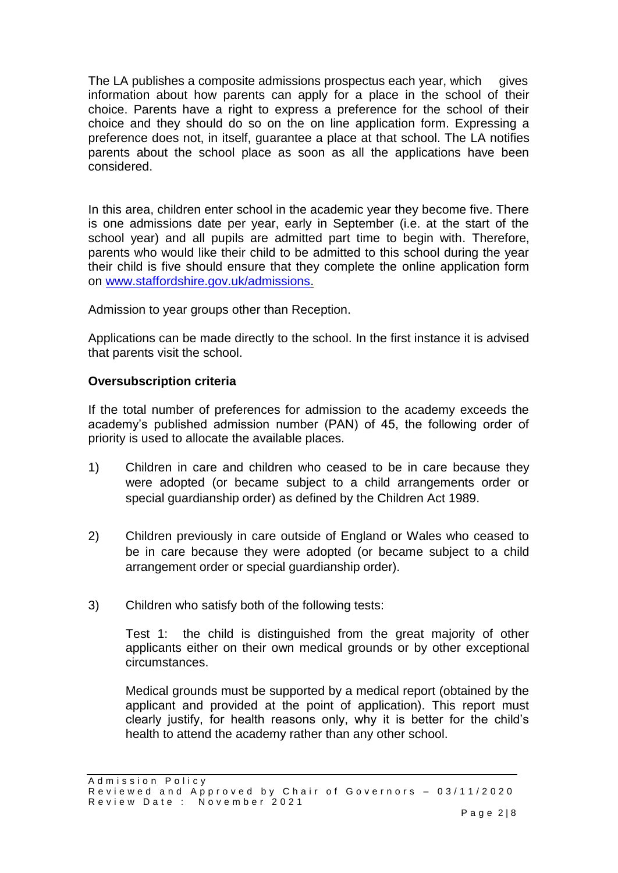The LA publishes a composite admissions prospectus each year, which gives information about how parents can apply for a place in the school of their choice. Parents have a right to express a preference for the school of their choice and they should do so on the on line application form. Expressing a preference does not, in itself, guarantee a place at that school. The LA notifies parents about the school place as soon as all the applications have been considered.

In this area, children enter school in the academic year they become five. There is one admissions date per year, early in September (i.e. at the start of the school year) and all pupils are admitted part time to begin with. Therefore, parents who would like their child to be admitted to this school during the year their child is five should ensure that they complete the online application form on [www.staffordshire.gov.uk/admissions.](http://www.staffordshire.gov.uk/admissions)

Admission to year groups other than Reception.

Applications can be made directly to the school. In the first instance it is advised that parents visit the school.

### **Oversubscription criteria**

If the total number of preferences for admission to the academy exceeds the academy's published admission number (PAN) of 45, the following order of priority is used to allocate the available places.

- 1) Children in care and children who ceased to be in care because they were adopted (or became subject to a child arrangements order or special guardianship order) as defined by the Children Act 1989.
- 2) Children previously in care outside of England or Wales who ceased to be in care because they were adopted (or became subject to a child arrangement order or special guardianship order).
- 3) Children who satisfy both of the following tests:

Test 1: the child is distinguished from the great majority of other applicants either on their own medical grounds or by other exceptional circumstances.

Medical grounds must be supported by a medical report (obtained by the applicant and provided at the point of application). This report must clearly justify, for health reasons only, why it is better for the child's health to attend the academy rather than any other school.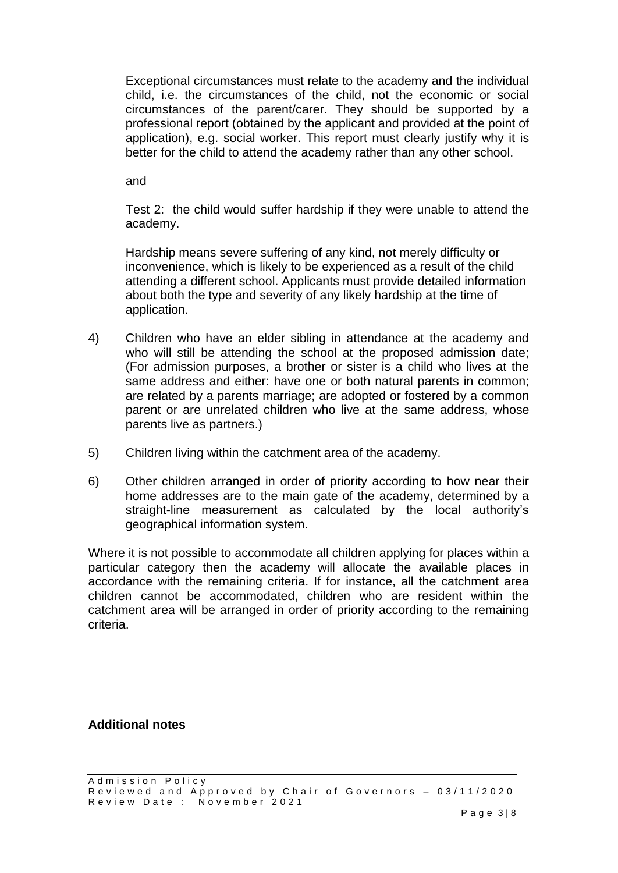Exceptional circumstances must relate to the academy and the individual child, i.e. the circumstances of the child, not the economic or social circumstances of the parent/carer. They should be supported by a professional report (obtained by the applicant and provided at the point of application), e.g. social worker. This report must clearly justify why it is better for the child to attend the academy rather than any other school.

and

Test 2: the child would suffer hardship if they were unable to attend the academy.

Hardship means severe suffering of any kind, not merely difficulty or inconvenience, which is likely to be experienced as a result of the child attending a different school. Applicants must provide detailed information about both the type and severity of any likely hardship at the time of application.

- 4) Children who have an elder sibling in attendance at the academy and who will still be attending the school at the proposed admission date; (For admission purposes, a brother or sister is a child who lives at the same address and either: have one or both natural parents in common; are related by a parents marriage; are adopted or fostered by a common parent or are unrelated children who live at the same address, whose parents live as partners.)
- 5) Children living within the catchment area of the academy.
- 6) Other children arranged in order of priority according to how near their home addresses are to the main gate of the academy, determined by a straight-line measurement as calculated by the local authority's geographical information system.

Where it is not possible to accommodate all children applying for places within a particular category then the academy will allocate the available places in accordance with the remaining criteria. If for instance, all the catchment area children cannot be accommodated, children who are resident within the catchment area will be arranged in order of priority according to the remaining criteria.

**Additional notes**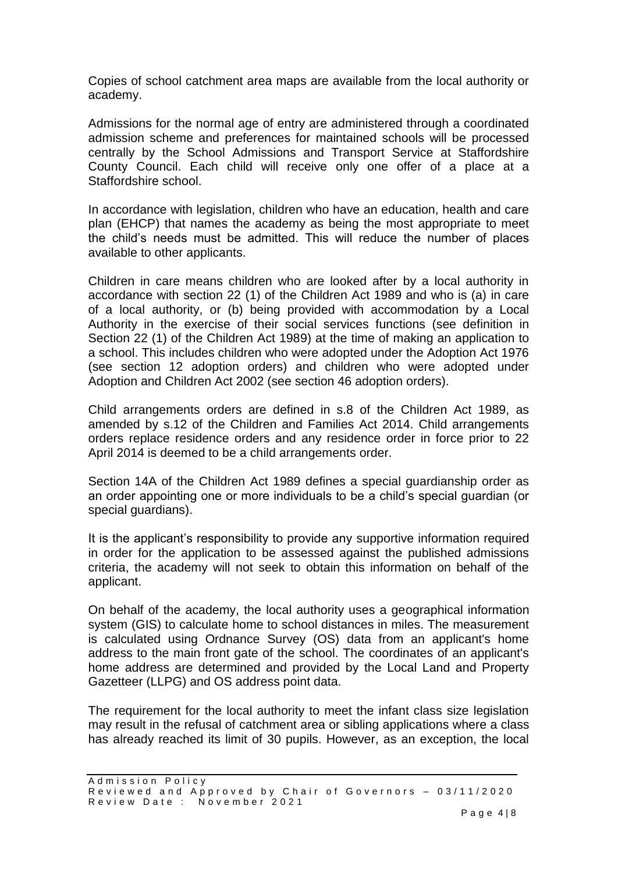Copies of school catchment area maps are available from the local authority or academy.

Admissions for the normal age of entry are administered through a coordinated admission scheme and preferences for maintained schools will be processed centrally by the School Admissions and Transport Service at Staffordshire County Council. Each child will receive only one offer of a place at a Staffordshire school.

In accordance with legislation, children who have an education, health and care plan (EHCP) that names the academy as being the most appropriate to meet the child's needs must be admitted. This will reduce the number of places available to other applicants.

Children in care means children who are looked after by a local authority in accordance with section 22 (1) of the Children Act 1989 and who is (a) in care of a local authority, or (b) being provided with accommodation by a Local Authority in the exercise of their social services functions (see definition in Section 22 (1) of the Children Act 1989) at the time of making an application to a school. This includes children who were adopted under the Adoption Act 1976 (see section 12 adoption orders) and children who were adopted under Adoption and Children Act 2002 (see section 46 adoption orders).

Child arrangements orders are defined in s.8 of the Children Act 1989, as amended by s.12 of the Children and Families Act 2014. Child arrangements orders replace residence orders and any residence order in force prior to 22 April 2014 is deemed to be a child arrangements order.

Section 14A of the Children Act 1989 defines a special guardianship order as an order appointing one or more individuals to be a child's special guardian (or special guardians).

It is the applicant's responsibility to provide any supportive information required in order for the application to be assessed against the published admissions criteria, the academy will not seek to obtain this information on behalf of the applicant.

On behalf of the academy, the local authority uses a geographical information system (GIS) to calculate home to school distances in miles. The measurement is calculated using Ordnance Survey (OS) data from an applicant's home address to the main front gate of the school. The coordinates of an applicant's home address are determined and provided by the Local Land and Property Gazetteer (LLPG) and OS address point data.

The requirement for the local authority to meet the infant class size legislation may result in the refusal of catchment area or sibling applications where a class has already reached its limit of 30 pupils. However, as an exception, the local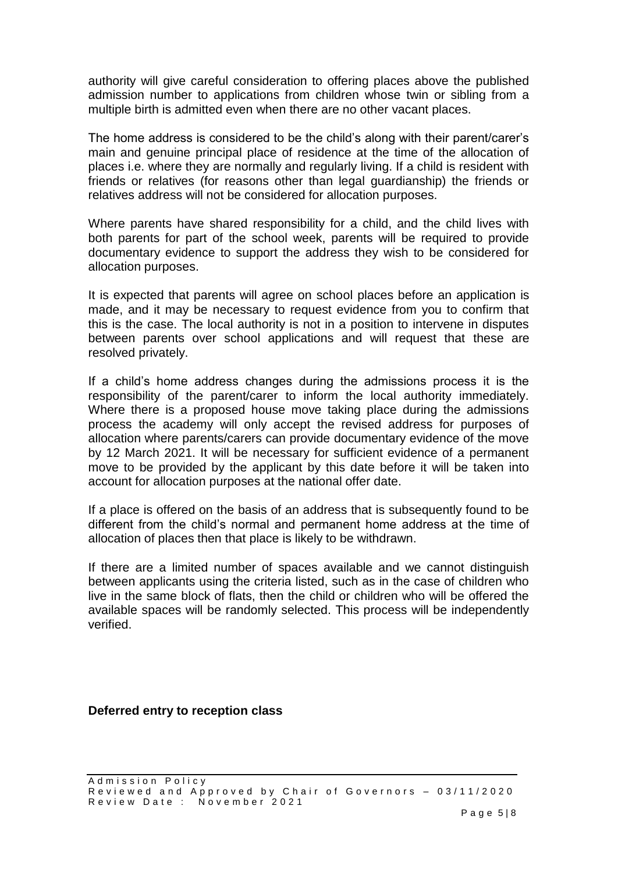authority will give careful consideration to offering places above the published admission number to applications from children whose twin or sibling from a multiple birth is admitted even when there are no other vacant places.

The home address is considered to be the child's along with their parent/carer's main and genuine principal place of residence at the time of the allocation of places i.e. where they are normally and regularly living. If a child is resident with friends or relatives (for reasons other than legal guardianship) the friends or relatives address will not be considered for allocation purposes.

Where parents have shared responsibility for a child, and the child lives with both parents for part of the school week, parents will be required to provide documentary evidence to support the address they wish to be considered for allocation purposes.

It is expected that parents will agree on school places before an application is made, and it may be necessary to request evidence from you to confirm that this is the case. The local authority is not in a position to intervene in disputes between parents over school applications and will request that these are resolved privately.

If a child's home address changes during the admissions process it is the responsibility of the parent/carer to inform the local authority immediately. Where there is a proposed house move taking place during the admissions process the academy will only accept the revised address for purposes of allocation where parents/carers can provide documentary evidence of the move by 12 March 2021. It will be necessary for sufficient evidence of a permanent move to be provided by the applicant by this date before it will be taken into account for allocation purposes at the national offer date.

If a place is offered on the basis of an address that is subsequently found to be different from the child's normal and permanent home address at the time of allocation of places then that place is likely to be withdrawn.

If there are a limited number of spaces available and we cannot distinguish between applicants using the criteria listed, such as in the case of children who live in the same block of flats, then the child or children who will be offered the available spaces will be randomly selected. This process will be independently verified.

**Deferred entry to reception class**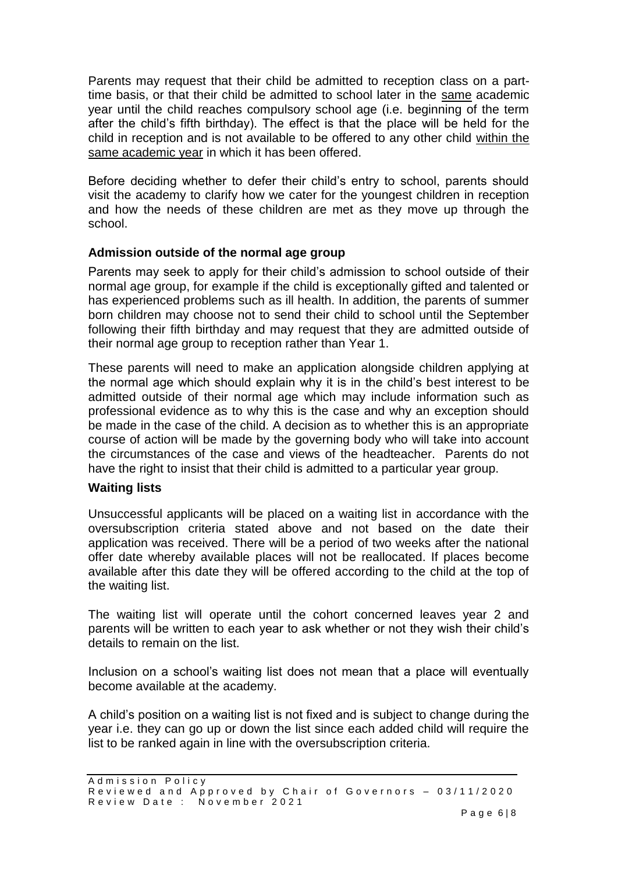Parents may request that their child be admitted to reception class on a parttime basis, or that their child be admitted to school later in the same academic year until the child reaches compulsory school age (i.e. beginning of the term after the child's fifth birthday). The effect is that the place will be held for the child in reception and is not available to be offered to any other child within the same academic year in which it has been offered.

Before deciding whether to defer their child's entry to school, parents should visit the academy to clarify how we cater for the youngest children in reception and how the needs of these children are met as they move up through the school.

## **Admission outside of the normal age group**

Parents may seek to apply for their child's admission to school outside of their normal age group, for example if the child is exceptionally gifted and talented or has experienced problems such as ill health. In addition, the parents of summer born children may choose not to send their child to school until the September following their fifth birthday and may request that they are admitted outside of their normal age group to reception rather than Year 1.

These parents will need to make an application alongside children applying at the normal age which should explain why it is in the child's best interest to be admitted outside of their normal age which may include information such as professional evidence as to why this is the case and why an exception should be made in the case of the child. A decision as to whether this is an appropriate course of action will be made by the governing body who will take into account the circumstances of the case and views of the headteacher. Parents do not have the right to insist that their child is admitted to a particular year group.

#### **Waiting lists**

Unsuccessful applicants will be placed on a waiting list in accordance with the oversubscription criteria stated above and not based on the date their application was received. There will be a period of two weeks after the national offer date whereby available places will not be reallocated. If places become available after this date they will be offered according to the child at the top of the waiting list.

The waiting list will operate until the cohort concerned leaves year 2 and parents will be written to each year to ask whether or not they wish their child's details to remain on the list.

Inclusion on a school's waiting list does not mean that a place will eventually become available at the academy.

A child's position on a waiting list is not fixed and is subject to change during the year i.e. they can go up or down the list since each added child will require the list to be ranked again in line with the oversubscription criteria.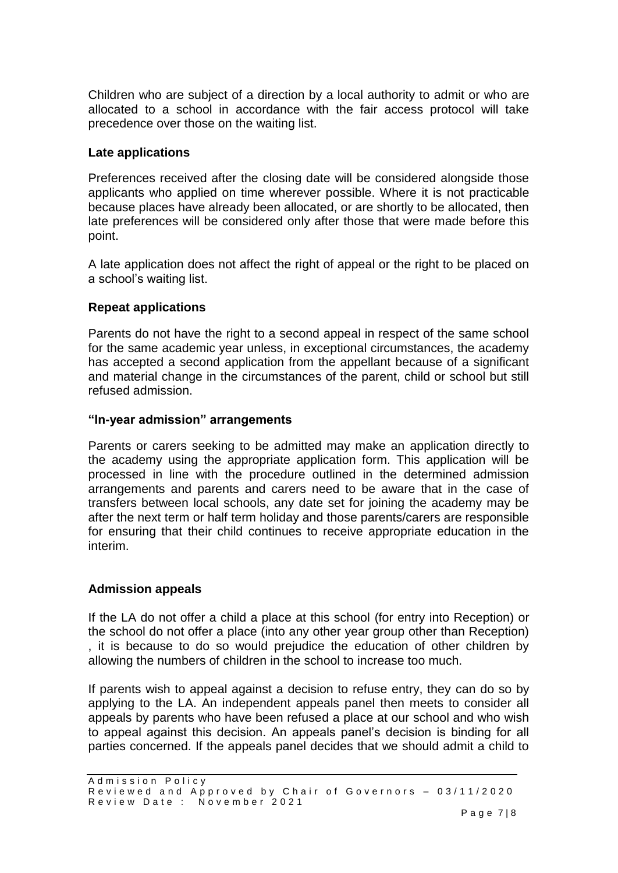Children who are subject of a direction by a local authority to admit or who are allocated to a school in accordance with the fair access protocol will take precedence over those on the waiting list.

### **Late applications**

Preferences received after the closing date will be considered alongside those applicants who applied on time wherever possible. Where it is not practicable because places have already been allocated, or are shortly to be allocated, then late preferences will be considered only after those that were made before this point.

A late application does not affect the right of appeal or the right to be placed on a school's waiting list.

### **Repeat applications**

Parents do not have the right to a second appeal in respect of the same school for the same academic year unless, in exceptional circumstances, the academy has accepted a second application from the appellant because of a significant and material change in the circumstances of the parent, child or school but still refused admission.

#### **"In-year admission" arrangements**

Parents or carers seeking to be admitted may make an application directly to the academy using the appropriate application form. This application will be processed in line with the procedure outlined in the determined admission arrangements and parents and carers need to be aware that in the case of transfers between local schools, any date set for joining the academy may be after the next term or half term holiday and those parents/carers are responsible for ensuring that their child continues to receive appropriate education in the interim.

#### **Admission appeals**

If the LA do not offer a child a place at this school (for entry into Reception) or the school do not offer a place (into any other year group other than Reception) , it is because to do so would prejudice the education of other children by allowing the numbers of children in the school to increase too much.

If parents wish to appeal against a decision to refuse entry, they can do so by applying to the LA. An independent appeals panel then meets to consider all appeals by parents who have been refused a place at our school and who wish to appeal against this decision. An appeals panel's decision is binding for all parties concerned. If the appeals panel decides that we should admit a child to